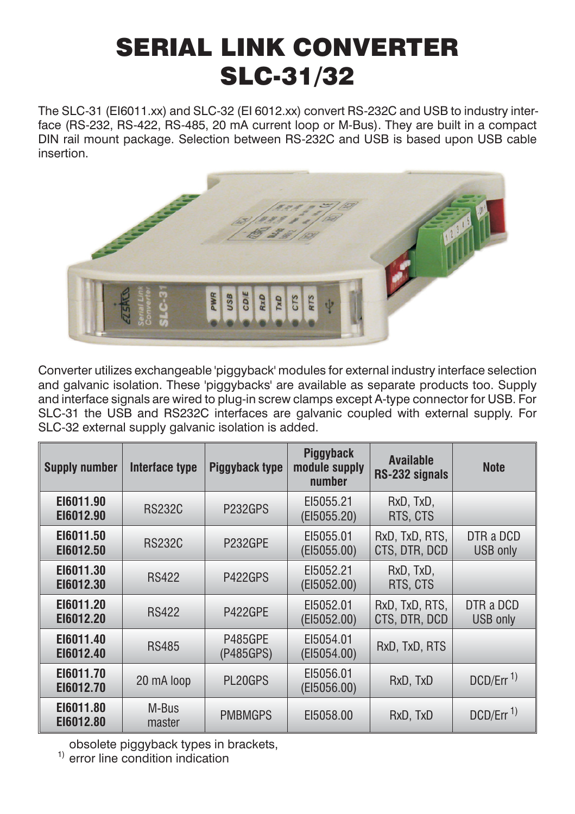# SERIAL LINK CONVERTER SLC-31/32

The SLC-31 (EI6011.xx) and SLC-32 (EI 6012.xx) convert RS-232C and USB to industry interface (RS-232, RS-422, RS-485, 20 mA current loop or M-Bus). They are built in a compact DIN rail mount package. Selection between RS-232C and USB is based upon USB cable insertion.



Converter utilizes exchangeable 'piggyback' modules for external industry interface selection and galvanic isolation. These 'piggybacks' are available as separate products too. Supply and interface signals are wired to plug-in screw clamps except A-type connector for USB. For SLC-31 the USB and RS232C interfaces are galvanic coupled with external supply. For SLC-32 external supply galvanic isolation is added.

| <b>Supply number</b>   | Interface type  | Piggyback type              | Piggyback<br>module supply<br>number | <b>Available</b><br>RS-232 signals | <b>Note</b>                  |
|------------------------|-----------------|-----------------------------|--------------------------------------|------------------------------------|------------------------------|
| EI6011.90<br>E16012.90 | <b>RS232C</b>   | P <sub>232GPS</sub>         | EI5055.21<br>(EI5055.20)             | RxD, TxD,<br>RTS, CTS              |                              |
| EI6011.50<br>E16012.50 | <b>RS232C</b>   | P232GPE                     | EI5055.01<br>(EI5055.00)             | RxD, TxD, RTS,<br>CTS, DTR, DCD    | DTR a DCD<br>USB only        |
| E16011.30<br>E16012.30 | <b>RS422</b>    | P422GPS                     | EI5052.21<br>(EI5052.00)             | RxD, TxD,<br>RTS, CTS              |                              |
| E16011.20<br>E16012.20 | <b>RS422</b>    | P422GPE                     | EI5052.01<br>(EI5052.00)             | RxD, TxD, RTS,<br>CTS. DTR. DCD    | DTR a DCD<br><b>USB</b> only |
| E16011.40<br>E16012.40 | <b>RS485</b>    | <b>P485GPE</b><br>(P485GPS) | EI5054.01<br>(EI5054.00)             | RxD, TxD, RTS                      |                              |
| E16011.70<br>E16012.70 | 20 mA loop      | PL20GPS                     | EI5056.01<br>(EI5056.00)             | RxD, TxD                           | DCD/Err <sup>1)</sup>        |
| E16011.80<br>E16012.80 | M-Bus<br>master | <b>PMBMGPS</b>              | EI5058.00                            | RxD, TxD                           | DCD/Err <sup>1)</sup>        |

obsolete piggyback types in brackets,

 $<sup>1</sup>$  error line condition indication</sup>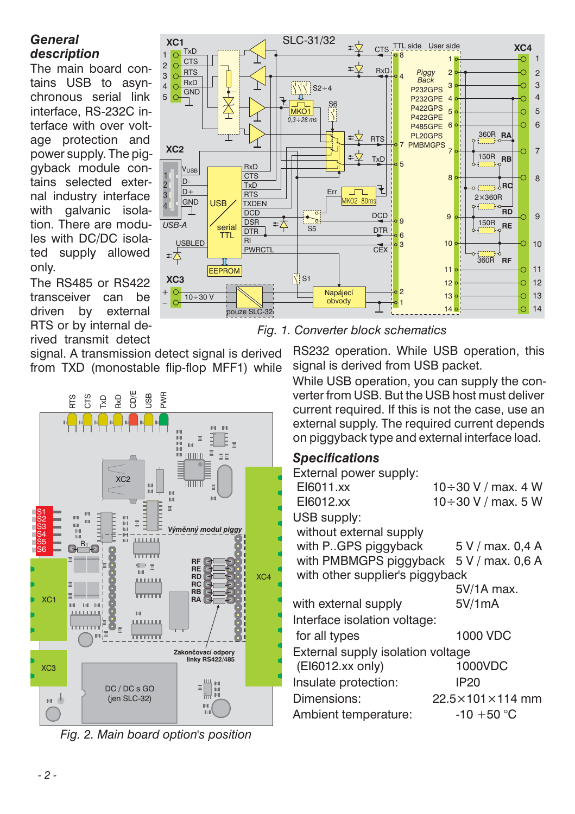# <span id="page-1-0"></span>*General description*

The main board contains USB to asynchronous serial link interface, RS-232C interface with over voltage protection and power supply. The piggyback module contains selected external industry interface with galvanic isolation. There are modules with DC/DC isolated supply allowed only.

The RS485 or RS422 transceiver can be driven by external RTS or by internal derived transmit detect

signal. A transmission detect signal is derived from TXD (monostable flip-flop MFF1) while



*Fig. 2. Main board option's position*



*Fig. [1](#page-1-0). Converter block schematics*

RS232 operation. While USB operation, this signal is derived from USB packet.

While USB operation, you can supply the converter from USB. But the USB host must deliver current required. If this is not the case, use an external supply. The required current depends on piggyback type and external interface load.

# *Specifications*

| External power supply:            |                             |
|-----------------------------------|-----------------------------|
| EI6011.xx                         | $10 \div 30$ V / max, 4 W   |
| EI6012.xx                         | 10÷30 V / max. 5 W          |
| USB supply:                       |                             |
| without external supply           |                             |
| with P. GPS piggyback             | 5 V / max. 0,4 A            |
| with PMBMGPS piggyback            | 5 V / max, 0.6 A            |
| with other supplier's piggyback   |                             |
|                                   | 5V/1A max.                  |
| with external supply              | 5V/1mA                      |
| Interface isolation voltage:      |                             |
| for all types                     | 1000 VDC                    |
| External supply isolation voltage |                             |
| (EI6012.xx only)                  | 1000VDC                     |
| Insulate protection:              | IP20                        |
| Dimensions:                       | $22.5\times101\times114$ mm |
| Ambient temperature:              | $-10 + 50 °C$               |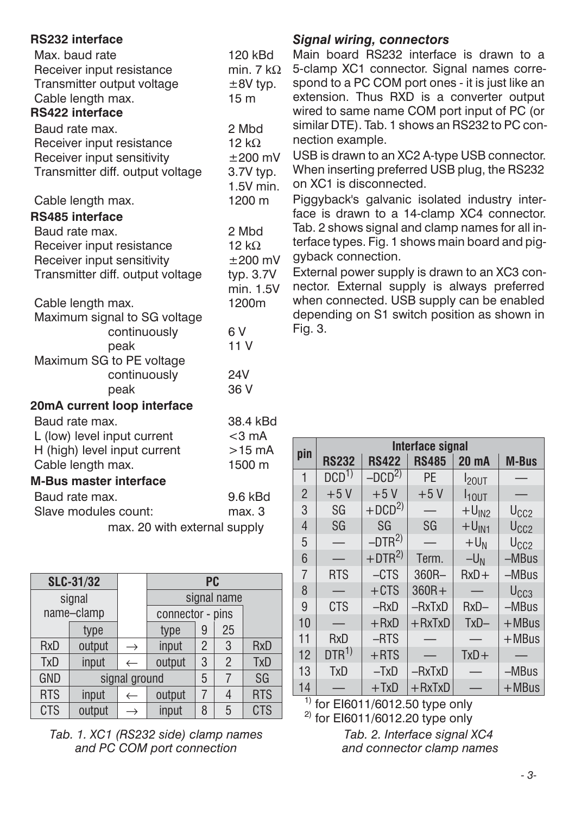<span id="page-2-0"></span>

| <b>RS232 interface</b>           |                   |
|----------------------------------|-------------------|
| Max. baud rate                   | 120 kBd           |
| Receiver input resistance        | min. 7 k $\Omega$ |
| Transmitter output voltage       | $±8V$ typ.        |
| Cable length max.                | 15 <sub>m</sub>   |
| <b>RS422 interface</b>           |                   |
| Baud rate max.                   | 2 Mbd             |
| Receiver input resistance        | $12 k\Omega$      |
| Receiver input sensitivity       | $\pm 200$ mV      |
| Transmitter diff. output voltage | 3.7V typ.         |
|                                  | 1.5V min.         |
| Cable length max.                | 1200 m            |
| RS485 interface                  |                   |
| Baud rate max.                   | 2 Mbd             |
| Receiver input resistance        | 12 $k\Omega$      |
| Receiver input sensitivity       | $\pm 200$ mV      |
| Transmitter diff. output voltage | typ. 3.7V         |
|                                  | min. 1.5V         |
| Cable length max.                | 1200m             |
| Maximum signal to SG voltage     |                   |
| continuously                     | 6 V               |
| peak                             | 11V               |
| Maximum SG to PE voltage         |                   |
| continuously                     | 24V               |
| peak                             | 36 V              |
| 20mA current loop interface      |                   |
| Baud rate max.                   | 38.4 kBd          |
| L (low) level input current      | $<$ 3 mA          |
| H (high) level input current     | $>15$ mA          |
| Cable length max.                | 1500 m            |
| <b>M-Bus master interface</b>    |                   |
| Baud rate max.                   | 9.6 kBd           |
| Slave modules count:             | max. 3            |
| max. 20 with external supply     |                   |

| SLC-31/32  |        |               | <b>PC</b>        |                |                |            |
|------------|--------|---------------|------------------|----------------|----------------|------------|
| signal     |        |               | signal name      |                |                |            |
| name-clamp |        |               | connector - pins |                |                |            |
|            | type   |               | type             | 9              | 25             |            |
| <b>RxD</b> | output | $\rightarrow$ | input            | $\mathfrak{p}$ | 3              | <b>RxD</b> |
| <b>TxD</b> | input  | $\leftarrow$  | output           | 3              | $\mathfrak{p}$ | <b>TxD</b> |
| <b>GND</b> |        | signal ground |                  | 5              |                | SG         |
| <b>RTS</b> | input  | $\leftarrow$  | output           | $\overline{7}$ |                | <b>RTS</b> |
| <b>CTS</b> | output | $\rightarrow$ | input            | 8              | 5              | <b>CTS</b> |

*Tab. [1](#page-2-0). XC1 (RS232 side) clamp names and PC COM port connection*

#### *Signal wiring, connectors*

Main board RS232 interface is drawn to a  $\Omega$  5-clamp XC1 connector. Signal names correspond to a PC COM port ones - it is just like an extension. Thus RXD is a converter output wired to same name COM port input of PC (or similar DTE). Tab. 1 shows an RS232 to PC connection example.

USB is drawn to an XC2 A-type USB connector. When inserting preferred USB plug, the RS232 on XC1 is disconnected.

Piggyback's galvanic isolated industry interface is drawn to a 14-clamp XC4 connector. Tab. 2 shows signal and clamp names for all interface types. Fig. 1 shows main board and piggyback connection.

External power supply is drawn to an XC3 connector. External supply is always preferred when connected. USB supply can be enabled depending on S1 switch position as shown in Fig. 3.

|                | Interface signal |              |              |              |                  |
|----------------|------------------|--------------|--------------|--------------|------------------|
| pin            | <b>RS232</b>     | <b>RS422</b> | <b>RS485</b> | <b>20 mA</b> | <b>M-Bus</b>     |
| $\mathbf{1}$   | $DCD^{1}$        | $-DCD2$      | <b>PE</b>    | $I_{20UT}$   |                  |
| $\overline{2}$ | $+5V$            | $+5V$        | $+5V$        | $I_{101}$ T  |                  |
| 3              | SG               | $+DCD2$      |              | $+UIN2$      | U <sub>CC2</sub> |
| $\overline{4}$ | SG               | SG           | SG           | $+U_{IN1}$   | U <sub>CC2</sub> |
| 5              |                  | $-DTR2$      |              | $+U_N$       | U <sub>CC2</sub> |
| 6              |                  | $+DTR^{2)}$  | Term.        | $-U_N$       | $-MBus$          |
| $\overline{7}$ | <b>RTS</b>       | $-CTS$       | 360R-        | $RxD+$       | -MBus            |
| 8              |                  | $+CTS$       | $360R +$     |              | U <sub>CC3</sub> |
| 9              | <b>CTS</b>       | $-RxD$       | $-RxTxD$     | $RxD -$      | $-MBus$          |
| 10             |                  | $+ RxD$      | $+ RxTxD$    | $TxD -$      | $+MBus$          |
| 11             | <b>RxD</b>       | $-RTS$       |              |              | $+MBus$          |
| 12             | $DTR^{1}$        | $+$ RTS      |              | $TxD +$      |                  |
| 13             | <b>TxD</b>       | $-TxD$       | $-RxTxD$     |              | $-MBus$          |
| 14             |                  | $+TxD$       | $+$ RxTxD    |              | $+$ MBus         |

 $1)$  for EI6011/6012.50 type only  $^{2)}$  for EI6011/6012.20 type only *Tab. [2](#page-2-0). Interface signal XC4*

*and connector clamp names*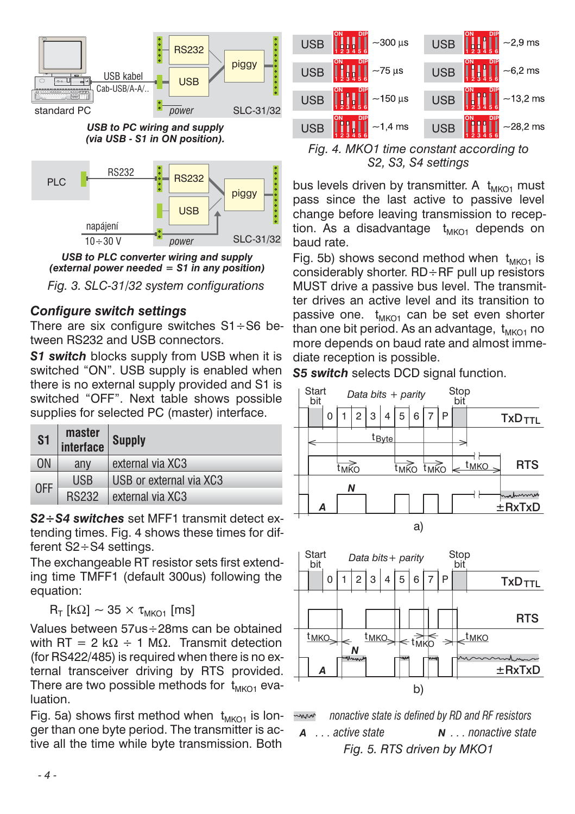



*USB to PLC converter wiring and supply (external power needed = S1 in any position)*

*Fig. 3. SLC-31/32 system configurations*

### *Configure switch settings*

There are six configure switches S1÷S6 between RS232 and USB connectors.

**S1 switch** blocks supply from USB when it is switched "ON". USB supply is enabled when there is no external supply provided and S1 is switched "OFF". Next table shows possible supplies for selected PC (master) interface.

| S <sub>1</sub> | master<br>interface | <b>Supply</b>           |  |
|----------------|---------------------|-------------------------|--|
| 0N             | any                 | external via XC3        |  |
| <b>OFF</b>     | <b>USB</b>          | USB or external via XC3 |  |
|                | <b>RS232</b>        | external via XC3        |  |

*S2÷S4 switches* set MFF1 transmit detect extending times. Fig. 4 shows these times for different S2÷S4 settings.

The exchangeable RT resistor sets first extending time TMFF1 (default 300us) following the equation:

 $R_T$  [kΩ] ~ 35  $\times$  τ<sub>MKO1</sub> [ms]

Values between 57us÷28ms can be obtained with RT = 2 kΩ  $\div$  1 MΩ. Transmit detection (for RS422/485) is required when there is no external transceiver driving by RTS provided. There are two possible methods for  $t_{MKO1}$  evaluation.

Fig. 5a) shows first method when  $t_{MKO1}$  is longer than one byte period. The transmitter is active all the time while byte transmission. Both



*Fig. 4. MKO1 time constant according to S2, S3, S4 settings*

bus levels driven by transmitter. A  $t_{MKO1}$  must pass since the last active to passive level change before leaving transmission to reception. As a disadvantage  $t_{MKO1}$  depends on baud rate.

Fig. 5b) shows second method when  $t_{MKO1}$  is considerably shorter. RD÷RF pull up resistors MUST drive a passive bus level. The transmitter drives an active level and its transition to passive one.  $t_{MKO1}$  can be set even shorter than one bit period. As an advantage,  $t_{MKO1}$  no more depends on baud rate and almost immediate reception is possible.

*S5 switch* selects DCD signal function.



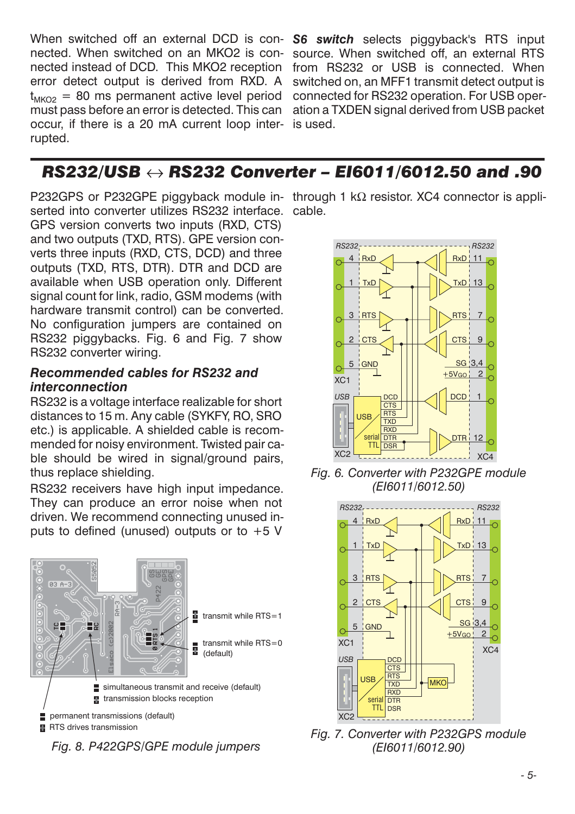When switched off an external DCD is connected. When switched on an MKO2 is connected instead of DCD. This MKO2 reception error detect output is derived from RXD. A  $t_{MKO2} = 80$  ms permanent active level period must pass before an error is detected. This can occur, if there is a 20 mA current loop interrupted.

**S6 switch** selects piggyback's RTS input source. When switched off, an external RTS from RS232 or USB is connected. When switched on, an MFF1 transmit detect output is connected for RS232 operation. For USB operation a TXDEN signal derived from USB packet is used.

# *RS232/USB RS232 Converter – EI6011/6012.50 and .90*

P232GPS or P232GPE piggyback module in-through 1 kΩ resistor. XC4 connector is appliserted into converter utilizes RS232 interface. cable. GPS version converts two inputs (RXD, CTS) and two outputs (TXD, RTS). GPE version converts three inputs (RXD, CTS, DCD) and three outputs (TXD, RTS, DTR). DTR and DCD are available when USB operation only. Different signal count for link, radio, GSM modems (with hardware transmit control) can be converted. No configuration jumpers are contained on RS232 piggybacks. Fig. 6 and Fig. 7 show RS232 converter wiring.

#### *Recommended cables for RS232 and interconnection*

RS232 is a voltage interface realizable for short distances to 15 m. Any cable (SYKFY, RO, SRO etc.) is applicable. A shielded cable is recommended for noisy environment. Twisted pair cable should be wired in signal/ground pairs, thus replace shielding.

RS232 receivers have high input impedance. They can produce an error noise when not driven. We recommend connecting unused inputs to defined (unused) outputs or to  $+5$  V



*Fig. 8. P422GPS/GPE module jumpers*



*Fig. 6. Converter with P232GPE module (EI6011/6012.50)*



*Fig. 7. Converter with P232GPS module (EI6011/6012.90)*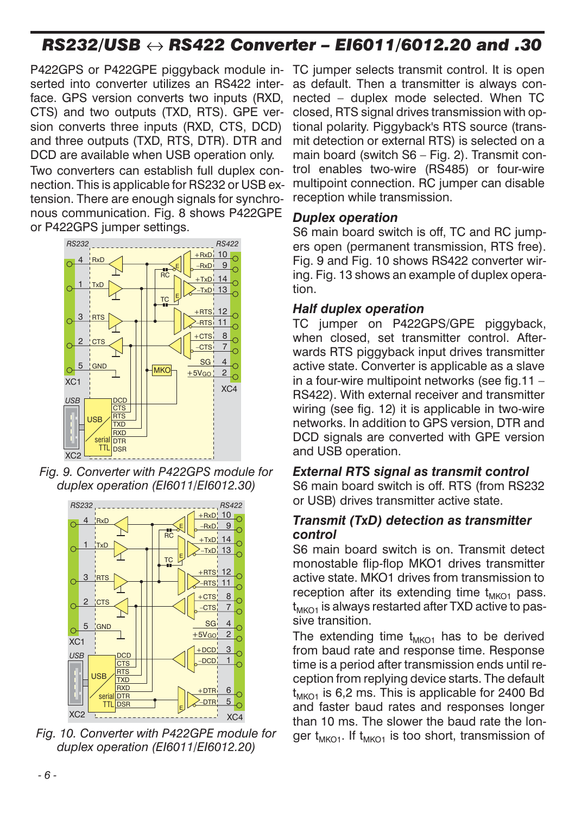# *RS232/USB RS422 Converter – EI6011/6012.20 and .30*

P422GPS or P422GPE piggyback module inserted into converter utilizes an RS422 interface. GPS version converts two inputs (RXD, CTS) and two outputs (TXD, RTS). GPE version converts three inputs (RXD, CTS, DCD) and three outputs (TXD, RTS, DTR). DTR and DCD are available when USB operation only.

Two converters can establish full duplex connection. This is applicable for RS232 or USB extension. There are enough signals for synchronous communication. Fig. 8 shows P422GPE or P422GPS jumper settings.



*Fig. 9. Converter with P422GPS module for duplex operation (EI6011/EI6012.30)*



*Fig. 10. Converter with P422GPE module for duplex operation (EI6011/EI6012.20)*

TC jumper selects transmit control. It is open as default. Then a transmitter is always connected – duplex mode selected. When TC closed, RTS signal drives transmission with optional polarity. Piggyback's RTS source (transmit detection or external RTS) is selected on a main board (switch S6 – Fig. 2). Transmit control enables two-wire (RS485) or four-wire multipoint connection. RC jumper can disable reception while transmission.

#### *Duplex operation*

S6 main board switch is off, TC and RC jumpers open (permanent transmission, RTS free). Fig. 9 and Fig. 10 shows RS422 converter wiring. Fig. 13 shows an example of duplex operation.

#### *Half duplex operation*

TC jumper on P422GPS/GPE piggyback, when closed, set transmitter control. Afterwards RTS piggyback input drives transmitter active state. Converter is applicable as a slave in a four-wire multipoint networks (see fig.11 – RS422). With external receiver and transmitter wiring (see fig. 12) it is applicable in two-wire networks. In addition to GPS version, DTR and DCD signals are converted with GPE version and USB operation.

#### *External RTS signal as transmit control*

S6 main board switch is off. RTS (from RS232 or USB) drives transmitter active state.

#### *Transmit (TxD) detection as transmitter control*

S6 main board switch is on. Transmit detect monostable flip-flop MKO1 drives transmitter active state. MKO1 drives from transmission to reception after its extending time  $t_{MKO1}$  pass.  $t_{MKO1}$  is always restarted after TXD active to passive transition.

The extending time  $t_{MKO1}$  has to be derived from baud rate and response time. Response time is a period after transmission ends until reception from replying device starts. The default  $t_{MKO1}$  is 6,2 ms. This is applicable for 2400 Bd and faster baud rates and responses longer than 10 ms. The slower the baud rate the longer  $t_{MKO1}$ . If  $t_{MKO1}$  is too short, transmission of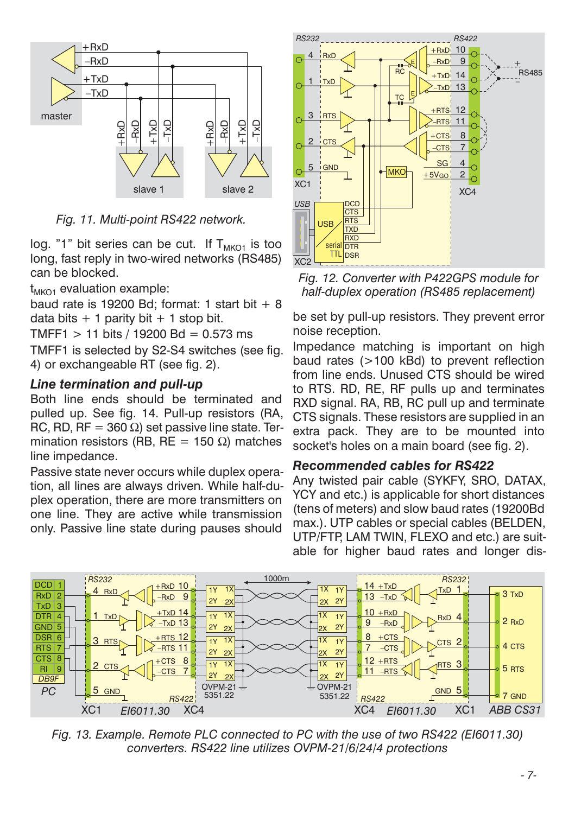

*Fig. 11. Multi-point RS422 network.*

log. "1" bit series can be cut. If  $T_{MKO1}$  is too long, fast reply in two-wired networks (RS485) can be blocked.

 $t_{MKO1}$  evaluation example:

baud rate is 19200 Bd; format: 1 start bit  $+8$ data bits  $+1$  parity bit  $+1$  stop bit.

 $TMFF1 > 11 \text{ bits} / 19200 \text{ Bd} = 0.573 \text{ ms}$ 

TMFF1 is selected by S2-S4 switches (see fig. 4) or exchangeable RT (see fig. 2).

#### *Line termination and pull-up*

Both line ends should be terminated and pulled up. See fig. 14. Pull-up resistors (RA, RC, RD, RF = 360  $\Omega$ ) set passive line state. Termination resistors (RB, RE = 150  $\Omega$ ) matches line impedance.

Passive state never occurs while duplex operation, all lines are always driven. While half-duplex operation, there are more transmitters on one line. They are active while transmission only. Passive line state during pauses should



*Fig. 12. Converter with P422GPS module for half-duplex operation (RS485 replacement)*

be set by pull-up resistors. They prevent error noise reception.

Impedance matching is important on high baud rates (>100 kBd) to prevent reflection from line ends. Unused CTS should be wired to RTS. RD, RE, RF pulls up and terminates RXD signal. RA, RB, RC pull up and terminate CTS signals. These resistors are supplied in an extra pack. They are to be mounted into socket's holes on a main board (see fig. 2).

#### *Recommended cables for RS422*

Any twisted pair cable (SYKFY, SRO, DATAX, YCY and etc.) is applicable for short distances (tens of meters) and slow baud rates (19200Bd max.). UTP cables or special cables (BELDEN, UTP/FTP, LAM TWIN, FLEXO and etc.) are suitable for higher baud rates and longer dis-



*Fig. 13. Example. Remote PLC connected to PC with the use of two RS422 (EI6011.30) converters. RS422 line utilizes OVPM-21/6/24/4 protections*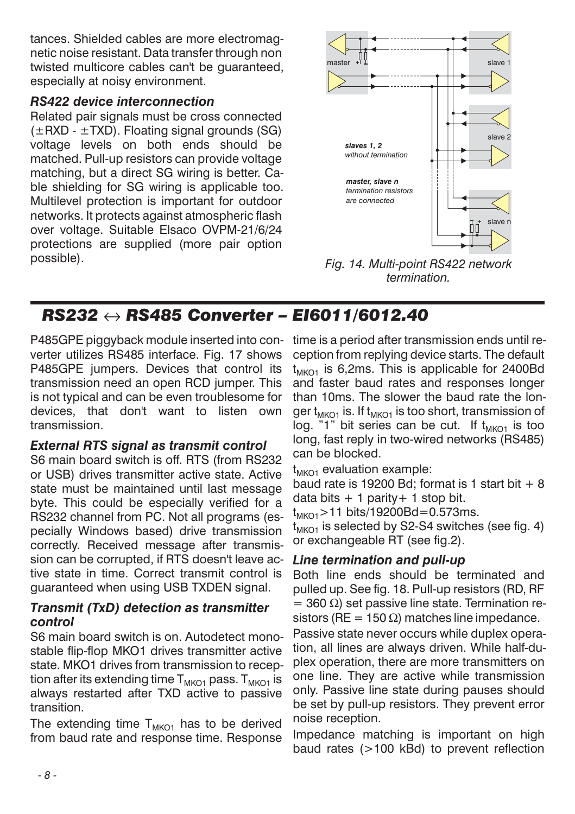tances. Shielded cables are more electromagnetic noise resistant. Data transfer through non twisted multicore cables can't be guaranteed, especially at noisy environment.

#### *RS422 device interconnection*

Related pair signals must be cross connected  $(\pm RXD - \pm TXD)$ . Floating signal grounds (SG) voltage levels on both ends should be matched. Pull-up resistors can provide voltage matching, but a direct SG wiring is better. Cable shielding for SG wiring is applicable too. Multilevel protection is important for outdoor networks. It protects against atmospheric flash over voltage. Suitable Elsaco OVPM-21/6/24 protections are supplied (more pair option possible).



*Fig. 14. Multi-point RS422 network termination.*

# *RS232 RS485 Converter – EI6011/6012.40*

P485GPE piggyback module inserted into converter utilizes RS485 interface. Fig. 17 shows P485GPE jumpers. Devices that control its transmission need an open RCD jumper. This is not typical and can be even troublesome for devices, that don't want to listen own transmission.

### *External RTS signal as transmit control*

S6 main board switch is off. RTS (from RS232 or USB) drives transmitter active state. Active state must be maintained until last message byte. This could be especially verified for a RS232 channel from PC. Not all programs (especially Windows based) drive transmission correctly. Received message after transmission can be corrupted, if RTS doesn't leave active state in time. Correct transmit control is guaranteed when using USB TXDEN signal.

#### *Transmit (TxD) detection as transmitter control*

S6 main board switch is on. Autodetect monostable flip-flop MKO1 drives transmitter active state. MKO1 drives from transmission to reception after its extending time  $T_{MKO1}$  pass.  $T_{MKO1}$  is always restarted after TXD active to passive transition.

The extending time  $T<sub>MKO1</sub>$  has to be derived from baud rate and response time. Response time is a period after transmission ends until reception from replying device starts. The default  $t_{MKO1}$  is 6,2ms. This is applicable for 2400Bd and faster baud rates and responses longer than 10ms. The slower the baud rate the longer  $t_{MKO1}$  is. If  $t_{MKO1}$  is too short, transmission of  $log.$  "1" bit series can be cut. If  $t_{MKO1}$  is too long, fast reply in two-wired networks (RS485) can be blocked.

 $t_{MKO1}$  evaluation example:

baud rate is 19200 Bd; format is 1 start bit  $+8$ data bits  $+1$  parity  $+1$  stop bit.

 $t_{MKO1}$  > 11 bits/19200Bd=0.573ms.

 $t_{MKO1}$  is selected by S2-S4 switches (see fig. 4) or exchangeable RT (see fig.2).

# *Line termination and pull-up*

Both line ends should be terminated and pulled up. See fig. 18. Pull-up resistors (RD, RF  $=$  360 Ω) set passive line state. Termination resistors (RE = 150  $\Omega$ ) matches line impedance.

Passive state never occurs while duplex operation, all lines are always driven. While half-duplex operation, there are more transmitters on one line. They are active while transmission only. Passive line state during pauses should be set by pull-up resistors. They prevent error noise reception.

Impedance matching is important on high baud rates (>100 kBd) to prevent reflection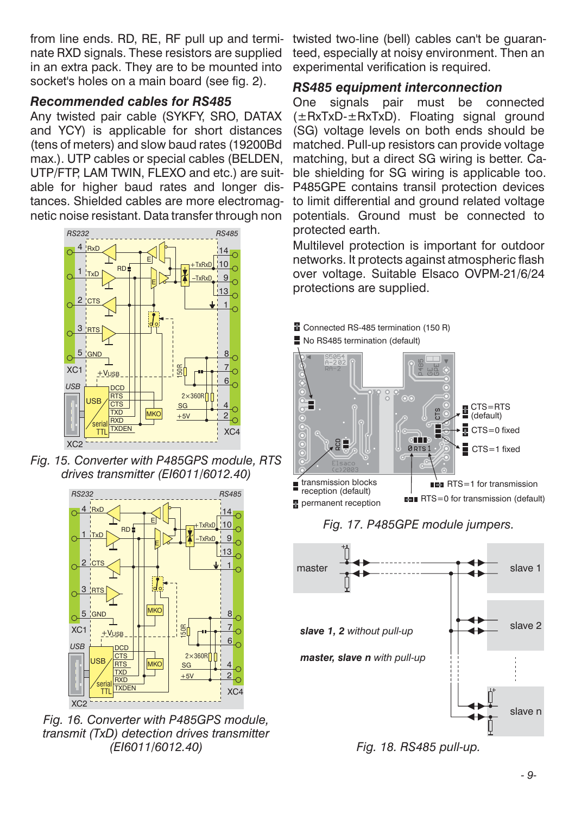from line ends. RD, RE, RF pull up and terminate RXD signals. These resistors are supplied in an extra pack. They are to be mounted into socket's holes on a main board (see fig. 2).

#### *Recommended cables for RS485*

Any twisted pair cable (SYKFY, SRO, DATAX and YCY) is applicable for short distances (tens of meters) and slow baud rates (19200Bd max.). UTP cables or special cables (BELDEN, UTP/FTP, LAM TWIN, FLEXO and etc.) are suitable for higher baud rates and longer distances. Shielded cables are more electromagnetic noise resistant. Data transfer through non



*Fig. 15. Converter with P485GPS module, RTS drives transmitter (EI6011/6012.40)*



*Fig. 16. Converter with P485GPS module, transmit (TxD) detection drives transmitter (EI6011/6012.40)*

twisted two-line (bell) cables can't be guaranteed, especially at noisy environment. Then an experimental verification is required.

### *RS485 equipment interconnection*

One signals pair must be connected (±RxTxD-±RxTxD). Floating signal ground (SG) voltage levels on both ends should be matched. Pull-up resistors can provide voltage matching, but a direct SG wiring is better. Cable shielding for SG wiring is applicable too. P485GPE contains transil protection devices to limit differential and ground related voltage potentials. Ground must be connected to protected earth.

Multilevel protection is important for outdoor networks. It protects against atmospheric flash over voltage. Suitable Elsaco OVPM-21/6/24 protections are supplied.



*Fig. 17. P485GPE module jumpers.*



*Fig. 18. RS485 pull-up.*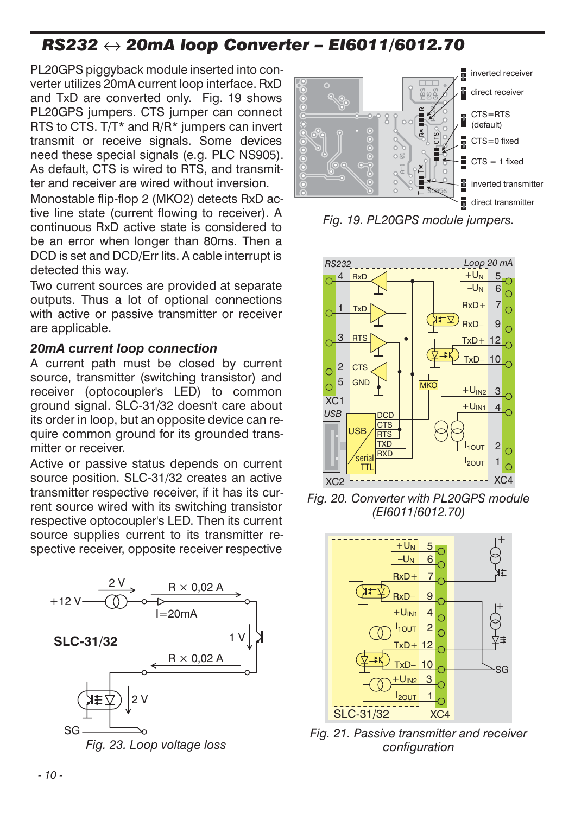# *RS232 20mA loop Converter – EI6011/6012.70*

PL20GPS piggyback module inserted into converter utilizes 20mA current loop interface. RxD and TxD are converted only. Fig. 19 shows PL20GPS jumpers. CTS jumper can connect RTS to CTS. T/T\* and R/R\* jumpers can invert transmit or receive signals. Some devices need these special signals (e.g. PLC NS905). As default, CTS is wired to RTS, and transmitter and receiver are wired without inversion.

Monostable flip-flop 2 (MKO2) detects RxD active line state (current flowing to receiver). A continuous RxD active state is considered to be an error when longer than 80ms. Then a DCD is set and DCD/Err lits. A cable interrupt is detected this way.

Two current sources are provided at separate outputs. Thus a lot of optional connections with active or passive transmitter or receiver are applicable.

#### *20mA current loop connection*

A current path must be closed by current source, transmitter (switching transistor) and receiver (optocoupler's LED) to common ground signal. SLC-31/32 doesn't care about its order in loop, but an opposite device can require common ground for its grounded transmitter or receiver.

Active or passive status depends on current source position. SLC-31/32 creates an active transmitter respective receiver, if it has its current source wired with its switching transistor respective optocoupler's LED. Then its current source supplies current to its transmitter respective receiver, opposite receiver respective





*Fig. 19. PL20GPS module jumpers.*



*Fig. 20. Converter with PL20GPS module (EI6011/6012.70)*



*Fig. 21. Passive transmitter and receiver configuration*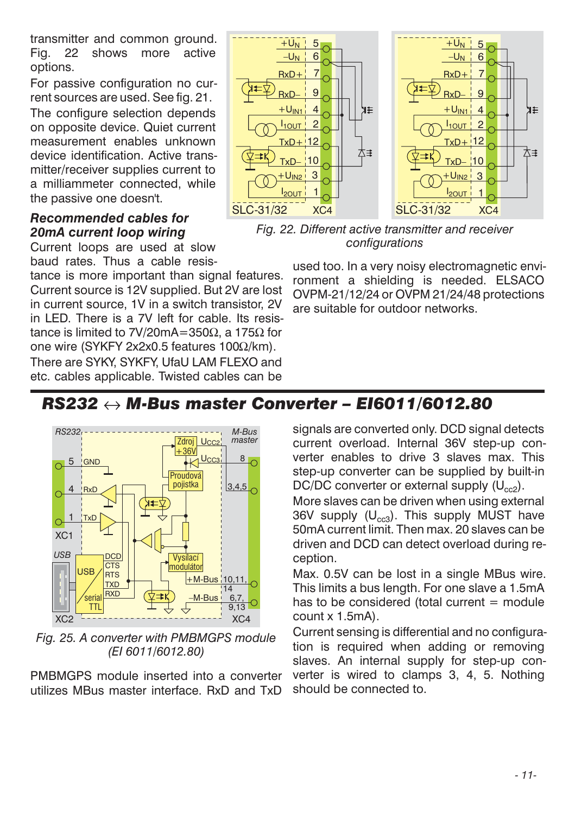transmitter and common ground. Fig. 22 shows more active options.

For passive configuration no current sources are used. See fig. 21.

The configure selection depends on opposite device. Quiet current measurement enables unknown device identification. Active transmitter/receiver supplies current to a milliammeter connected, while the passive one doesn't.

### *Recommended cables for 20mA current loop wiring*

Current loops are used at slow baud rates. Thus a cable resis-

tance is more important than signal features. Current source is 12V supplied. But 2V are lost in current source, 1V in a switch transistor, 2V in LED. There is a 7V left for cable. Its resistance is limited to 7V/20mA=350Ω, a 175Ω for one wire (SYKFY 2x2x0.5 features 100Ω/km).

There are SYKY, SYKFY, UfaU LAM FLEXO and etc. cables applicable. Twisted cables can be



*Fig. 22. Different active transmitter and receiver configurations*

used too. In a very noisy electromagnetic environment a shielding is needed. ELSACO OVPM-21/12/24 or OVPM 21/24/48 protections are suitable for outdoor networks.

# *RS232 M-Bus master Converter – EI6011/6012.80*



*Fig. 25. A converter with PMBMGPS module (EI 6011/6012.80)*

PMBMGPS module inserted into a converter utilizes MBus master interface. RxD and TxD

signals are converted only. DCD signal detects current overload. Internal 36V step-up converter enables to drive 3 slaves max. This step-up converter can be supplied by built-in DC/DC converter or external supply  $(U_{cc2})$ .

More slaves can be driven when using external 36V supply  $(U_{cc3})$ . This supply MUST have 50mA current limit. Then max. 20 slaves can be driven and DCD can detect overload during reception.

Max. 0.5V can be lost in a single MBus wire. This limits a bus length. For one slave a 1.5mA has to be considered (total current  $=$  module count x 1.5mA).

Current sensing is differential and no configuration is required when adding or removing slaves. An internal supply for step-up converter is wired to clamps 3, 4, 5. Nothing should be connected to.